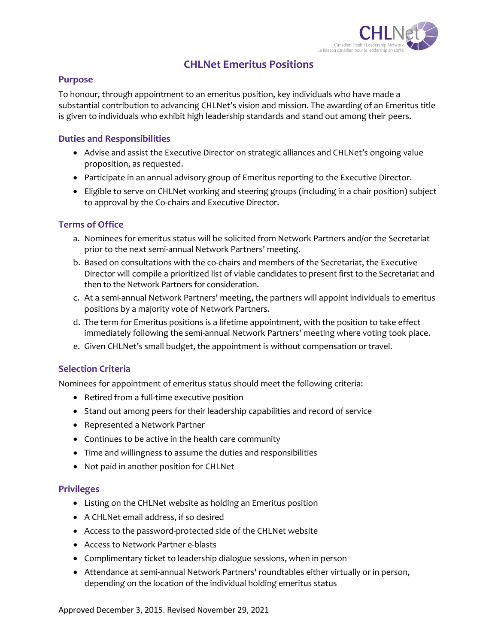

# **CHLNet Emeritus Positions**

#### **Purpose**

To honour, through appointment to an emeritus position, key individuals who have made a substantial contribution to advancing CHLNet's vision and mission. The awarding of an Emeritus title is given to individuals who exhibit high leadership standards and stand out among their peers.

#### **Duties and Responsibilities**

- Advise and assist the Executive Director on strategic alliances and CHLNet's ongoing value proposition, as requested.
- Participate in an annual advisory group of Emeritus reporting to the Executive Director.
- Eligible to serve on CHLNet working and steering groups (including in a chair position) subject to approval by the Co-chairs and Executive Director.

#### **Terms of Office**

- a. Nominees for emeritus status will be solicited from Network Partners and/or the Secretariat prior to the next semi-annual Network Partners' meeting.
- b. Based on consultations with the co-chairs and members of the Secretariat, the Executive Director will compile a prioritized list of viable candidates to present first to the Secretariat and then to the Network Partners for consideration.
- c. At a semi-annual Network Partners' meeting, the partners will appoint individuals to emeritus positions by a majority vote of Network Partners.
- d. The term for Emeritus positions is a lifetime appointment, with the position to take effect immediately following the semi-annual Network Partners' meeting where voting took place.
- e. Given CHLNet's small budget, the appointment is without compensation or travel.

## **Selection Criteria**

Nominees for appointment of emeritus status should meet the following criteria:

- Retired from a full-time executive position
- Stand out among peers for their leadership capabilities and record of service
- Represented a Network Partner
- Continues to be active in the health care community
- Time and willingness to assume the duties and responsibilities
- Not paid in another position for CHLNet

#### **Privileges**

- Listing on the CHLNet website as holding an Emeritus position
- A CHLNet email address, if so desired
- Access to the password-protected side of the CHLNet website
- Access to Network Partner e-blasts
- Complimentary ticket to leadership dialogue sessions, when in person
- Attendance at semi-annual Network Partners' roundtables either virtually or in person, depending on the location of the individual holding emeritus status